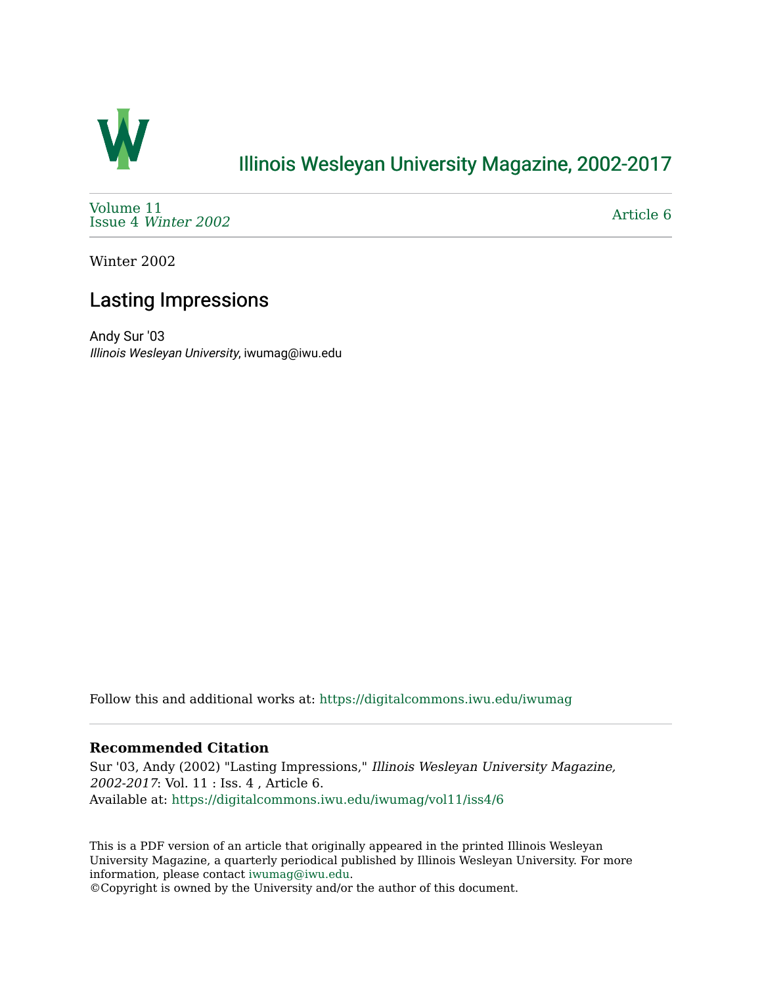

## [Illinois Wesleyan University Magazine, 2002-2017](https://digitalcommons.iwu.edu/iwumag)

[Volume 11](https://digitalcommons.iwu.edu/iwumag/vol11)  Issue 4 [Winter 2002](https://digitalcommons.iwu.edu/iwumag/vol11/iss4) 

[Article 6](https://digitalcommons.iwu.edu/iwumag/vol11/iss4/6) 

Winter 2002

# Lasting Impressions

Andy Sur '03 Illinois Wesleyan University, iwumag@iwu.edu

Follow this and additional works at: [https://digitalcommons.iwu.edu/iwumag](https://digitalcommons.iwu.edu/iwumag?utm_source=digitalcommons.iwu.edu%2Fiwumag%2Fvol11%2Fiss4%2F6&utm_medium=PDF&utm_campaign=PDFCoverPages) 

#### **Recommended Citation**

Sur '03, Andy (2002) "Lasting Impressions," Illinois Wesleyan University Magazine, 2002-2017: Vol. 11 : Iss. 4 , Article 6. Available at: [https://digitalcommons.iwu.edu/iwumag/vol11/iss4/6](https://digitalcommons.iwu.edu/iwumag/vol11/iss4/6?utm_source=digitalcommons.iwu.edu%2Fiwumag%2Fvol11%2Fiss4%2F6&utm_medium=PDF&utm_campaign=PDFCoverPages)

This is a PDF version of an article that originally appeared in the printed Illinois Wesleyan University Magazine, a quarterly periodical published by Illinois Wesleyan University. For more information, please contact [iwumag@iwu.edu](mailto:iwumag@iwu.edu).

©Copyright is owned by the University and/or the author of this document.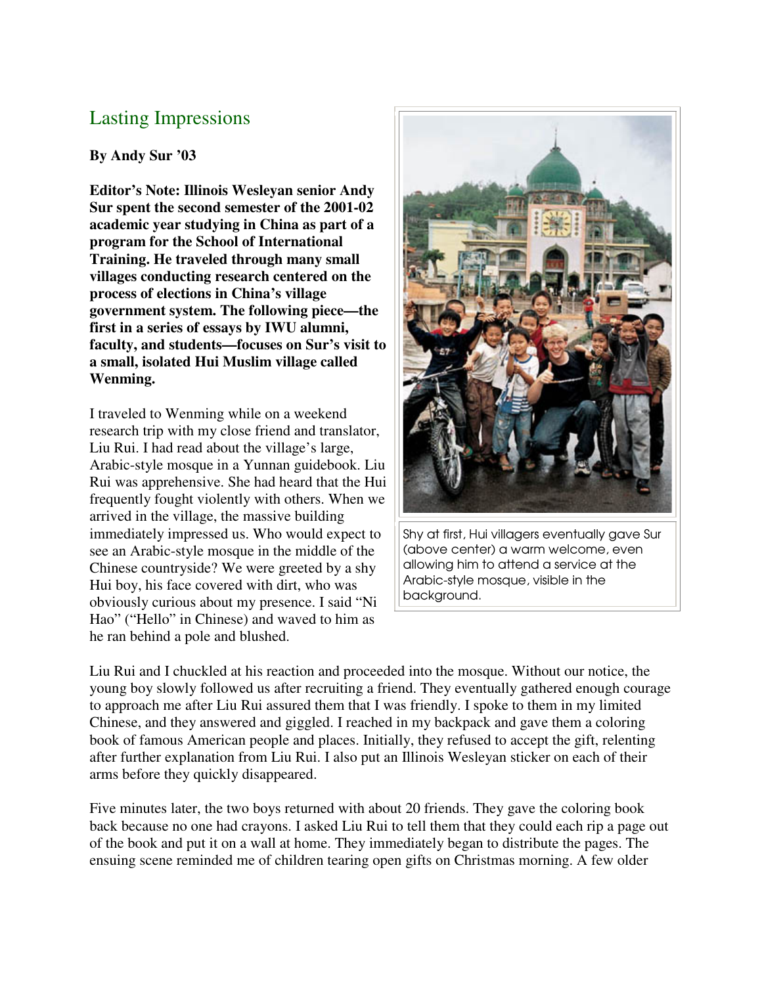### Lasting Impressions

#### **By Andy Sur '03**

**Editor's Note: Illinois Wesleyan senior Andy Sur spent the second semester of the 2001-02 academic year studying in China as part of a program for the School of International Training. He traveled through many small villages conducting research centered on the process of elections in China's village government system. The following piece—the first in a series of essays by IWU alumni, faculty, and students—focuses on Sur's visit to a small, isolated Hui Muslim village called Wenming.**

I traveled to Wenming while on a weekend research trip with my close friend and translator, Liu Rui. I had read about the village's large, Arabic-style mosque in a Yunnan guidebook. Liu Rui was apprehensive. She had heard that the Hui frequently fought violently with others. When we arrived in the village, the massive building immediately impressed us. Who would expect to see an Arabic-style mosque in the middle of the Chinese countryside? We were greeted by a shy Hui boy, his face covered with dirt, who was obviously curious about my presence. I said "Ni Hao" ("Hello" in Chinese) and waved to him as he ran behind a pole and blushed.



Shy at first, Hui villagers eventually gave Sur (above center) a warm welcome, even allowing him to attend a service at the Arabic-style mosque, visible in the background.

Liu Rui and I chuckled at his reaction and proceeded into the mosque. Without our notice, the young boy slowly followed us after recruiting a friend. They eventually gathered enough courage to approach me after Liu Rui assured them that I was friendly. I spoke to them in my limited Chinese, and they answered and giggled. I reached in my backpack and gave them a coloring book of famous American people and places. Initially, they refused to accept the gift, relenting after further explanation from Liu Rui. I also put an Illinois Wesleyan sticker on each of their arms before they quickly disappeared.

Five minutes later, the two boys returned with about 20 friends. They gave the coloring book back because no one had crayons. I asked Liu Rui to tell them that they could each rip a page out of the book and put it on a wall at home. They immediately began to distribute the pages. The ensuing scene reminded me of children tearing open gifts on Christmas morning. A few older